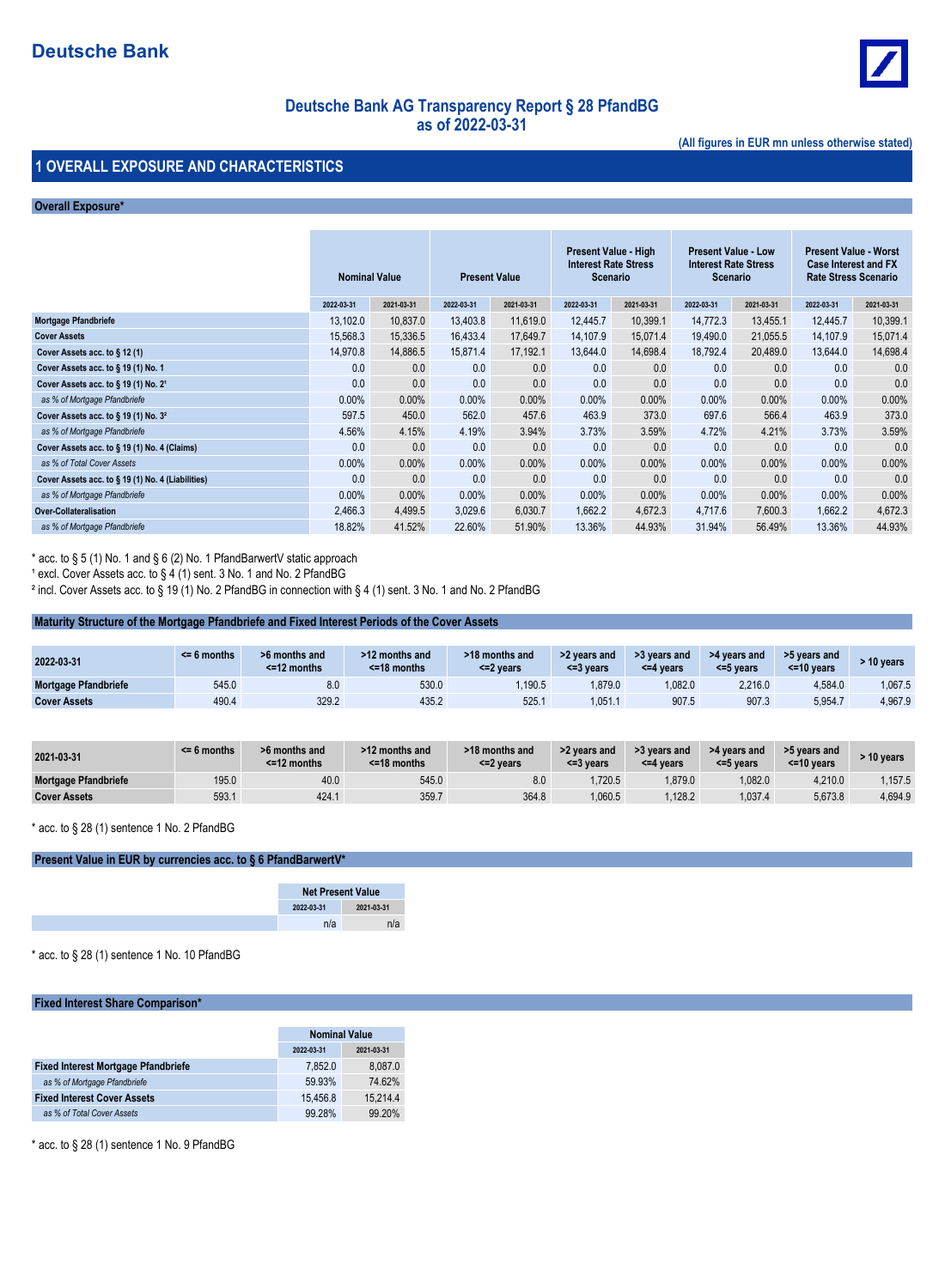

# **Deutsche Bank AG Transparency Report § 28 PfandBG as of 2022-03-31**

**(All figures in EUR mn unless otherwise stated)**

### **1 OVERALL EXPOSURE AND CHARACTERISTICS**

#### **Overall Exposure\***

|                                                     | <b>Nominal Value</b> |            | <b>Present Value</b> |            | <b>Present Value - High</b><br><b>Interest Rate Stress</b><br>Scenario |            | <b>Present Value - Low</b><br><b>Interest Rate Stress</b><br>Scenario |            | <b>Present Value - Worst</b><br><b>Case Interest and FX</b><br><b>Rate Stress Scenario</b> |            |
|-----------------------------------------------------|----------------------|------------|----------------------|------------|------------------------------------------------------------------------|------------|-----------------------------------------------------------------------|------------|--------------------------------------------------------------------------------------------|------------|
|                                                     | 2022-03-31           | 2021-03-31 | 2022-03-31           | 2021-03-31 | 2022-03-31                                                             | 2021-03-31 | 2022-03-31                                                            | 2021-03-31 | 2022-03-31                                                                                 | 2021-03-31 |
| Mortgage Pfandbriefe                                | 13,102.0             | 10,837.0   | 13,403.8             | 11,619.0   | 12,445.7                                                               | 10,399.1   | 14,772.3                                                              | 13,455.1   | 12,445.7                                                                                   | 10,399.1   |
| <b>Cover Assets</b>                                 | 15,568.3             | 15,336.5   | 16,433.4             | 17.649.7   | 14.107.9                                                               | 15,071.4   | 19.490.0                                                              | 21,055.5   | 14,107.9                                                                                   | 15,071.4   |
| Cover Assets acc. to $\S$ 12 (1)                    | 14,970.8             | 14,886.5   | 15,871.4             | 17,192.1   | 13,644.0                                                               | 14,698.4   | 18,792.4                                                              | 20,489.0   | 13,644.0                                                                                   | 14,698.4   |
| Cover Assets acc. to § 19 (1) No. 1                 | 0.0                  | 0.0        | 0.0                  | 0.0        | 0.0                                                                    | 0.0        | 0.0                                                                   | 0.0        | 0.0                                                                                        | 0.0        |
| Cover Assets acc. to $\S$ 19 (1) No. 2 <sup>1</sup> | 0.0                  | 0.0        | 0.0                  | 0.0        | 0.0                                                                    | 0.0        | 0.0                                                                   | 0.0        | 0.0                                                                                        | 0.0        |
| as % of Mortgage Pfandbriefe                        | $0.00\%$             | $0.00\%$   | $0.00\%$             | $0.00\%$   | 0.00%                                                                  | $0.00\%$   | $0.00\%$                                                              | $0.00\%$   | $0.00\%$                                                                                   | 0.00%      |
| Cover Assets acc. to $\S$ 19 (1) No. $32$           | 597.5                | 450.0      | 562.0                | 457.6      | 463.9                                                                  | 373.0      | 697.6                                                                 | 566.4      | 463.9                                                                                      | 373.0      |
| as % of Mortgage Pfandbriefe                        | 4.56%                | 4.15%      | 4.19%                | 3.94%      | 3.73%                                                                  | 3.59%      | 4.72%                                                                 | 4.21%      | 3.73%                                                                                      | 3.59%      |
| Cover Assets acc. to § 19 (1) No. 4 (Claims)        | 0.0                  | 0.0        | 0.0                  | 0.0        | 0.0                                                                    | 0.0        | 0.0                                                                   | 0.0        | 0.0                                                                                        | 0.0        |
| as % of Total Cover Assets                          | $0.00\%$             | $0.00\%$   | $0.00\%$             | $0.00\%$   | $0.00\%$                                                               | $0.00\%$   | $0.00\%$                                                              | $0.00\%$   | $0.00\%$                                                                                   | 0.00%      |
| Cover Assets acc. to § 19 (1) No. 4 (Liabilities)   | 0.0                  | 0.0        | 0.0                  | 0.0        | 0.0                                                                    | 0.0        | 0.0                                                                   | 0.0        | 0.0                                                                                        | 0.0        |
| as % of Mortgage Pfandbriefe                        | $0.00\%$             | $0.00\%$   | $0.00\%$             | $0.00\%$   | $0.00\%$                                                               | $0.00\%$   | $0.00\%$                                                              | $0.00\%$   | $0.00\%$                                                                                   | 0.00%      |
| <b>Over-Collateralisation</b>                       | 2,466.3              | 4,499.5    | 3,029.6              | 6,030.7    | 1,662.2                                                                | 4,672.3    | 4,717.6                                                               | 7,600.3    | 1,662.2                                                                                    | 4,672.3    |
| as % of Mortgage Pfandbriefe                        | 18.82%               | 41.52%     | 22.60%               | 51.90%     | 13.36%                                                                 | 44.93%     | 31.94%                                                                | 56.49%     | 13.36%                                                                                     | 44.93%     |

\* acc. to § 5 (1) No. 1 and § 6 (2) No. 1 PfandBarwertV static approach

<sup>1</sup> excl. Cover Assets acc. to § 4 (1) sent. 3 No. 1 and No. 2 PfandBG

² incl. Cover Assets acc. to § 19 (1) No. 2 PfandBG in connection with § 4 (1) sent. 3 No. 1 and No. 2 PfandBG

#### **Maturity Structure of the Mortgage Pfandbriefe and Fixed Interest Periods of the Cover Assets**

| 2022-03-31                  | $<$ 6 months | 6 months and<br>$<$ =12 months | >12 months and<br>$<$ =18 months | >18 months and<br>$<$ =2 vears | >2 years and<br><=3 vears | >3 years and<br><=4 years | >4 years and<br>$<$ =5 vears | >5 years and<br>$<$ =10 vears | $\cdot$ 10 vears |
|-----------------------------|--------------|--------------------------------|----------------------------------|--------------------------------|---------------------------|---------------------------|------------------------------|-------------------------------|------------------|
| <b>Mortgage Pfandbriefe</b> | 545.0        | 8.0                            | 530.0                            | .190.5                         | .879.0                    | 1,082.0                   | 2,216.0                      | 4,584.0                       | 1.067.5          |
| <b>Cover Assets</b>         | 490.4        | 329.2                          | 435.2                            | 525.7                          | .051.1                    | 907.5                     | 907.3                        | 5,954.7                       | 4.967.9          |

| 2021-03-31           | $\leq 6$ months | >6 months and<br>$<$ =12 months | >12 months and<br>$<$ =18 months | >18 months and<br><=2 years | >2 years and<br><=3 years | >3 years and<br><=4 years | >4 years and<br><=5 years | >5 years and<br>$<$ =10 years | > 10 vears |
|----------------------|-----------------|---------------------------------|----------------------------------|-----------------------------|---------------------------|---------------------------|---------------------------|-------------------------------|------------|
| Mortgage Pfandbriefe | 195.0           | 40.0                            | 545.0                            | 8.0                         | .720.5                    | 1.879.0                   | .082.0                    | 4.210.0                       | .157.5     |
| <b>Cover Assets</b>  | 593.1           | 424.1                           | 359.7                            | 364.8                       | .060.5                    | 1.128.2                   | ,037.4                    | 5,673.8                       | 4,694.9    |

\* acc. to § 28 (1) sentence 1 No. 2 PfandBG

### **Present Value in EUR by currencies acc. to § 6 PfandBarwertV\***

\* acc. to § 28 (1) sentence 1 No. 10 PfandBG

### **Fixed Interest Share Comparison\***

|                                            | <b>Nominal Value</b><br>2021-03-31<br>2022-03-31 |          |  |
|--------------------------------------------|--------------------------------------------------|----------|--|
|                                            |                                                  |          |  |
| <b>Fixed Interest Mortgage Pfandbriefe</b> | 7.852.0                                          | 8,087.0  |  |
| as % of Mortgage Pfandbriefe               | 59.93%                                           | 74.62%   |  |
| <b>Fixed Interest Cover Assets</b>         | 15.456.8                                         | 15.214.4 |  |
| as % of Total Cover Assets                 | 99.28%<br>99.20%                                 |          |  |

\* acc. to § 28 (1) sentence 1 No. 9 PfandBG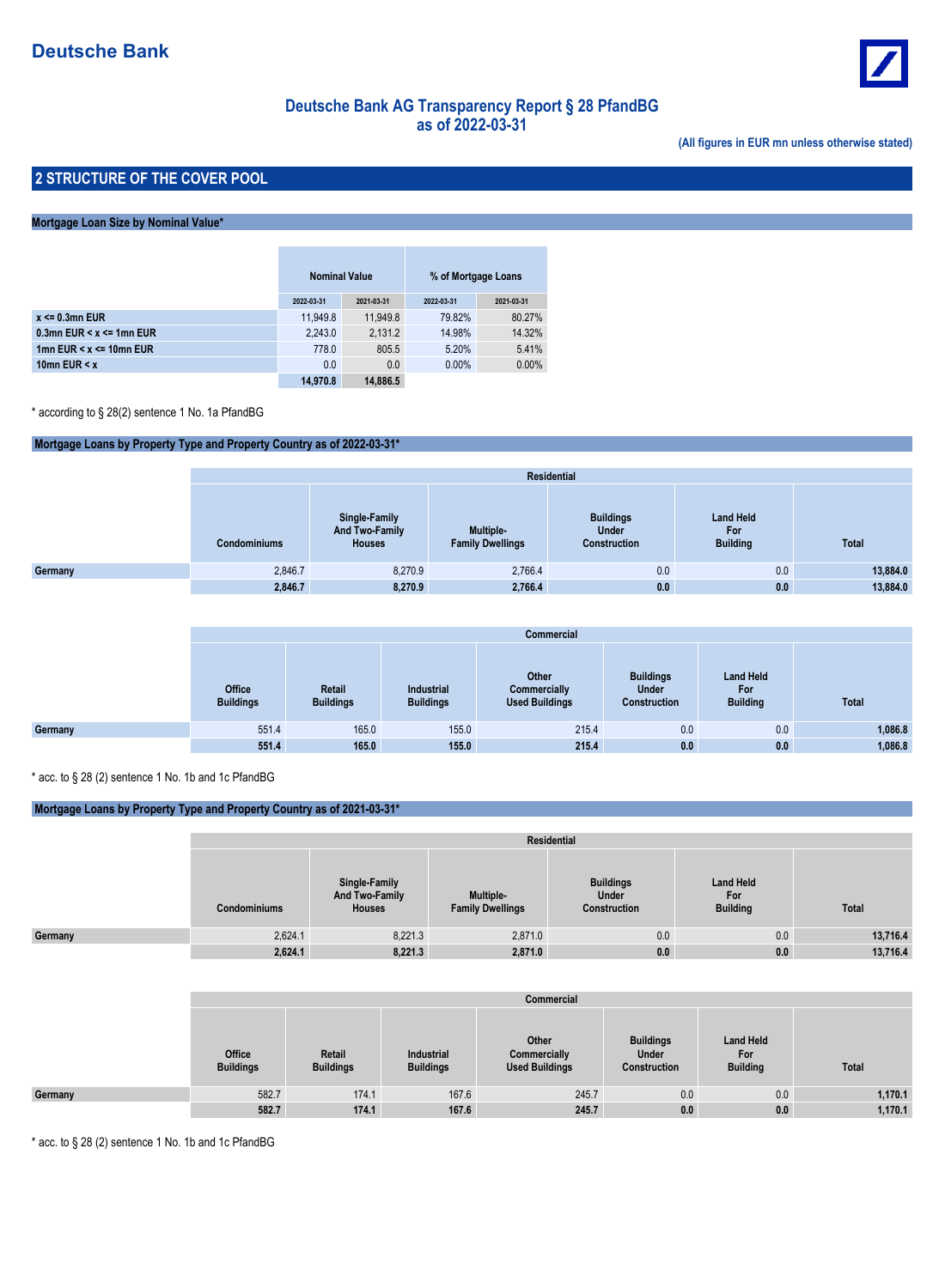

# **Deutsche Bank AG Transparency Report § 28 PfandBG as of 2022-03-31**

**(All figures in EUR mn unless otherwise stated)**

### **2 STRUCTURE OF THE COVER POOL**

### **Mortgage Loan Size by Nominal Value\***

|                                  | <b>Nominal Value</b> |            | % of Mortgage Loans |            |
|----------------------------------|----------------------|------------|---------------------|------------|
|                                  | 2022-03-31           | 2021-03-31 | 2022-03-31          | 2021-03-31 |
| $x \le 0.3$ mn EUR               | 11.949.8             | 11.949.8   | 79.82%              | 80.27%     |
| 0.3mn EUR $\leq x \leq 1$ mn EUR | 2,243.0              | 2.131.2    | 14.98%              | 14.32%     |
| 1mn EUR $\leq x \leq 10$ mn EUR  | 778.0                | 805.5      | 5.20%               | 5.41%      |
| 10mn EUR $\leq x$                | 0.0                  | 0.0        | $0.00\%$            | 0.00%      |
|                                  | 14,970.8             | 14,886.5   |                     |            |

\* according to § 28(2) sentence 1 No. 1a PfandBG

### **Mortgage Loans by Property Type and Property Country as of 2022-03-31\***

|         | <b>Residential</b>  |                                                  |                                      |                                                  |                                            |              |  |  |  |  |
|---------|---------------------|--------------------------------------------------|--------------------------------------|--------------------------------------------------|--------------------------------------------|--------------|--|--|--|--|
|         | <b>Condominiums</b> | Single-Family<br>And Two-Family<br><b>Houses</b> | Multiple-<br><b>Family Dwellings</b> | <b>Buildings</b><br><b>Under</b><br>Construction | <b>Land Held</b><br>For<br><b>Building</b> | <b>Total</b> |  |  |  |  |
| Germany | 2,846.7             | 8,270.9                                          | 2,766.4                              | 0.0                                              | 0.0                                        | 13,884.0     |  |  |  |  |
|         | 2,846.7             | 8,270.9                                          | 2,766.4                              | 0.0                                              | 0.0                                        | 13,884.0     |  |  |  |  |

|         | <b>Commercial</b>                 |                            |                                |                                                |                                                  |                                            |              |  |  |  |
|---------|-----------------------------------|----------------------------|--------------------------------|------------------------------------------------|--------------------------------------------------|--------------------------------------------|--------------|--|--|--|
|         | <b>Office</b><br><b>Buildings</b> | Retail<br><b>Buildings</b> | Industrial<br><b>Buildings</b> | Other<br>Commercially<br><b>Used Buildings</b> | <b>Buildings</b><br><b>Under</b><br>Construction | <b>Land Held</b><br>For<br><b>Building</b> | <b>Total</b> |  |  |  |
| Germany | 551.4                             | 165.0                      | 155.0                          | 215.4                                          | 0.0                                              | 0.0                                        | 1,086.8      |  |  |  |
|         | 551.4                             | 165.0                      | 155.0                          | 215.4                                          | 0.0                                              | 0.0                                        | 1,086.8      |  |  |  |

\* acc. to § 28 (2) sentence 1 No. 1b and 1c PfandBG

### **Mortgage Loans by Property Type and Property Country as of 2021-03-31\***

|         |                     | Residential                                      |                                             |                                           |                                            |          |  |  |  |  |  |
|---------|---------------------|--------------------------------------------------|---------------------------------------------|-------------------------------------------|--------------------------------------------|----------|--|--|--|--|--|
|         | <b>Condominiums</b> | Single-Family<br>And Two-Family<br><b>Houses</b> | <b>Multiple-</b><br><b>Family Dwellings</b> | <b>Buildings</b><br>Under<br>Construction | <b>Land Held</b><br>For<br><b>Building</b> | Total    |  |  |  |  |  |
| Germany | 2,624.1             | 8,221.3                                          | 2,871.0                                     | 0.0                                       | 0.0                                        | 13,716.4 |  |  |  |  |  |
|         | 2,624.1             | 8,221.3                                          | 2,871.0                                     | 0.0                                       | 0.0                                        | 13,716.4 |  |  |  |  |  |

|         | Commercial                        |                            |                                |                                                |                                                  |                                            |         |  |  |  |
|---------|-----------------------------------|----------------------------|--------------------------------|------------------------------------------------|--------------------------------------------------|--------------------------------------------|---------|--|--|--|
|         | <b>Office</b><br><b>Buildings</b> | Retail<br><b>Buildings</b> | Industrial<br><b>Buildings</b> | Other<br>Commercially<br><b>Used Buildings</b> | <b>Buildings</b><br><b>Under</b><br>Construction | <b>Land Held</b><br>For<br><b>Building</b> | Total   |  |  |  |
| Germany | 582.7                             | 174.1                      | 167.6                          | 245.7                                          | 0.0                                              | 0.0                                        | 1,170.1 |  |  |  |
|         | 582.7                             | 174.1                      | 167.6                          | 245.7                                          | 0.0                                              | 0.0                                        | 1,170.1 |  |  |  |

\* acc. to § 28 (2) sentence 1 No. 1b and 1c PfandBG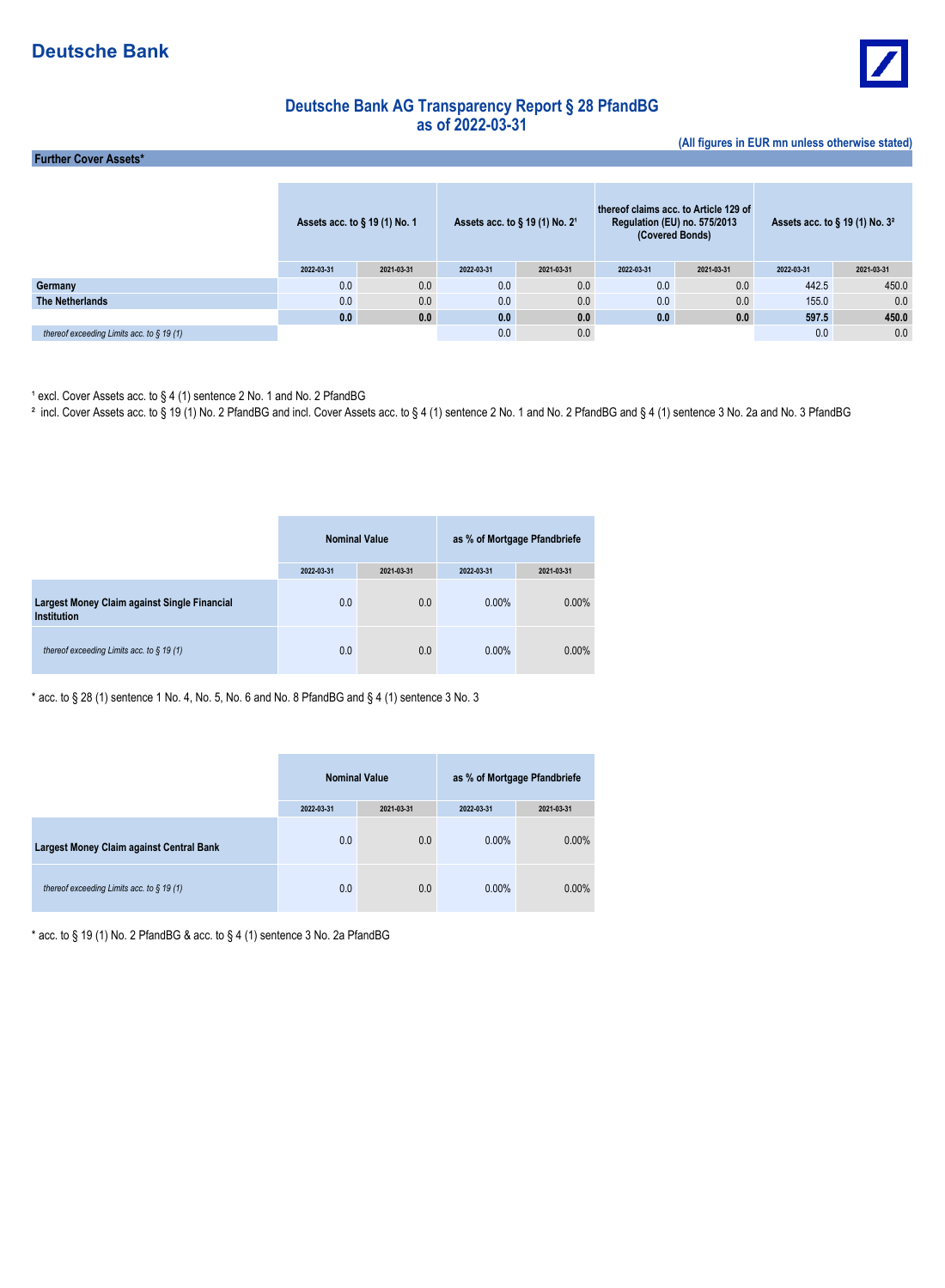

**(All figures in EUR mn unless otherwise stated)**

## **Deutsche Bank AG Transparency Report § 28 PfandBG as of 2022-03-31**

 **Further Cover Assets\***

|                                              | Assets acc. to § 19 (1) No. 1 |            | Assets acc. to $\S$ 19 (1) No. 2 <sup>1</sup> |            | thereof claims acc. to Article 129 of<br>Regulation (EU) no. 575/2013<br>(Covered Bonds) |            | Assets acc. to $\S$ 19 (1) No. $32$ |            |
|----------------------------------------------|-------------------------------|------------|-----------------------------------------------|------------|------------------------------------------------------------------------------------------|------------|-------------------------------------|------------|
|                                              | 2022-03-31                    | 2021-03-31 | 2022-03-31                                    | 2021-03-31 | 2022-03-31                                                                               | 2021-03-31 | 2022-03-31                          | 2021-03-31 |
| Germany                                      | 0.0                           | 0.0        | 0.0                                           | 0.0        | 0.0                                                                                      | 0.0        | 442.5                               | 450.0      |
| The Netherlands                              | 0.0                           | 0.0        | 0.0                                           | 0.0        | 0.0                                                                                      | 0.0        | 155.0                               | 0.0        |
|                                              | 0.0                           | 0.0        | 0.0                                           | 0.0        | 0.0                                                                                      | 0.0        | 597.5                               | 450.0      |
| thereof exceeding Limits acc. to $\S$ 19 (1) |                               |            | 0.0                                           | 0.0        |                                                                                          |            | 0.0                                 | 0.0        |

1 excl. Cover Assets acc. to § 4 (1) sentence 2 No. 1 and No. 2 PfandBG<br>ªincl. Cover Assets acc. to § 19 (1) No. 2 PfandBG and incl. Cover Assets acc. to § 4 (1) sentence 2 No. 1 and No. 2 PfandBG and § 4 (1) sentence 3 N

|                                                             |            | <b>Nominal Value</b> | as % of Mortgage Pfandbriefe |            |  |
|-------------------------------------------------------------|------------|----------------------|------------------------------|------------|--|
|                                                             | 2022-03-31 | 2021-03-31           | 2022-03-31                   | 2021-03-31 |  |
| Largest Money Claim against Single Financial<br>Institution | 0.0        | 0.0                  | $0.00\%$                     | $0.00\%$   |  |
| thereof exceeding Limits acc. to $\S$ 19 (1)                | 0.0        | 0.0                  | $0.00\%$                     | $0.00\%$   |  |

\* acc. to § 28 (1) sentence 1 No. 4, No. 5, No. 6 and No. 8 PfandBG and § 4 (1) sentence 3 No. 3

|                                              | <b>Nominal Value</b> |            | as % of Mortgage Pfandbriefe |            |
|----------------------------------------------|----------------------|------------|------------------------------|------------|
|                                              | 2022-03-31           | 2021-03-31 | 2022-03-31                   | 2021-03-31 |
| Largest Money Claim against Central Bank     | 0.0                  | 0.0        | $0.00\%$                     | $0.00\%$   |
| thereof exceeding Limits acc. to $\S$ 19 (1) | 0.0                  | 0.0        | $0.00\%$                     | $0.00\%$   |

 $*$  acc. to § 19 (1) No. 2 PfandBG & acc. to § 4 (1) sentence 3 No. 2a PfandBG